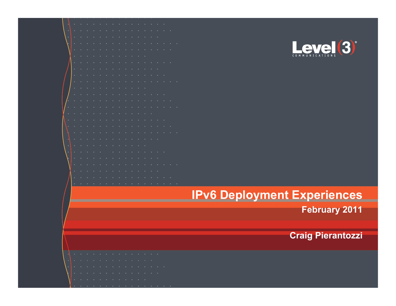

#### **IPv6 Deployment Experiences**

**February 2011** 

**Craig Pierantozzi** 

|        |  |  | and the state of the state of the state of the state of the state of the state of the state of the state of the |  |  |        |        |     |               |
|--------|--|--|-----------------------------------------------------------------------------------------------------------------|--|--|--------|--------|-----|---------------|
|        |  |  |                                                                                                                 |  |  |        |        |     |               |
| $\sim$ |  |  |                                                                                                                 |  |  |        | $\sim$ | . . | $\rightarrow$ |
| ٠      |  |  |                                                                                                                 |  |  | $\sim$ | $\sim$ |     |               |
|        |  |  |                                                                                                                 |  |  |        |        |     |               |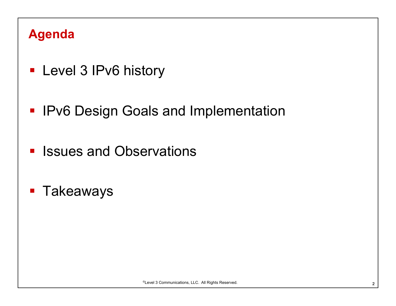#### **Agenda**

- **Level 3 IPv6 history**
- **IPv6 Design Goals and Implementation**
- **Elssues and Observations**
- **Takeaways**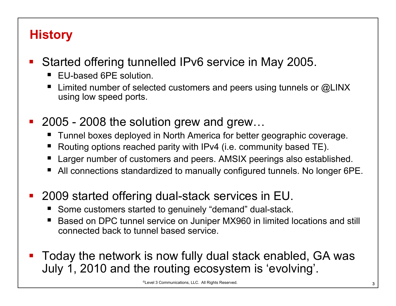#### **History**

- Started offering tunnelled IPv6 service in May 2005.
	- EU-based 6PE solution.
	- **E** Limited number of selected customers and peers using tunnels or  $@LINK$ using low speed ports.
- 2005 2008 the solution grew and grew...
	- Tunnel boxes deployed in North America for better geographic coverage.
	- Routing options reached parity with IPv4 (i.e. community based TE).
	- Larger number of customers and peers. AMSIX peerings also established.
	- All connections standardized to manually configured tunnels. No longer 6PE.
- 2009 started offering dual-stack services in EU.
	- Some customers started to genuinely "demand" dual-stack.
	- Based on DPC tunnel service on Juniper MX960 in limited locations and still connected back to tunnel based service.
- Today the network is now fully dual stack enabled, GA was July 1, 2010 and the routing ecosystem is 'evolving'.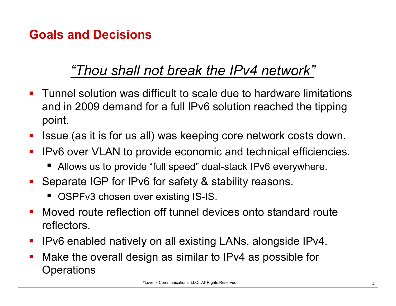## **Goals and Decisions**

## *"Thou shall not break the IPv4 network"*

- Tunnel solution was difficult to scale due to hardware limitations and in 2009 demand for a full IPv6 solution reached the tipping point.
- Issue (as it is for us all) was keeping core network costs down.
- IPv6 over VLAN to provide economic and technical efficiencies.
	- Allows us to provide "full speed" dual-stack IPv6 everywhere.
- **Separate IGP for IPv6 for safety & stability reasons.** 
	- OSPFv3 chosen over existing IS-IS.
- Moved route reflection off tunnel devices onto standard route reflectors.
- IPv6 enabled natively on all existing LANs, alongside IPv4.
- Make the overall design as similar to IPv4 as possible for **Operations**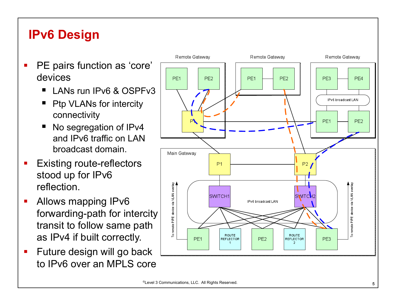### **IPv6 Design**

- **PE pairs function as 'core'** devices
	- $\blacksquare$  LANs run IPv6 & OSPFv3
	- Ptp VLANs for intercity connectivity
	- No segregation of IPv4 and IPv6 traffic on LAN broadcast domain.
- **Existing route-reflectors** stood up for IPv6 reflection.
- Allows mapping IPv6 forwarding-path for intercity transit to follow same path as IPv4 if built correctly.
- **Future design will go back** to IPv6 over an MPLS core

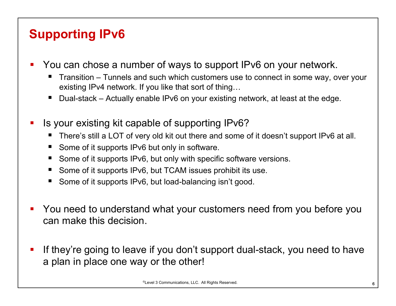## **Supporting IPv6**

- You can chose a number of ways to support IPv6 on your network.
	- Transition Tunnels and such which customers use to connect in some way, over your existing IPv4 network. If you like that sort of thing…
	- Dual-stack Actually enable IPv6 on your existing network, at least at the edge.
- Is your existing kit capable of supporting IPv6?
	- There's still a LOT of very old kit out there and some of it doesn't support IPv6 at all.
	- Some of it supports IPv6 but only in software.
	- Some of it supports IPv6, but only with specific software versions.
	- Some of it supports IPv6, but TCAM issues prohibit its use.
	- Some of it supports IPv6, but load-balancing isn't good.
- You need to understand what your customers need from you before you can make this decision.
- If they're going to leave if you don't support dual-stack, you need to have a plan in place one way or the other!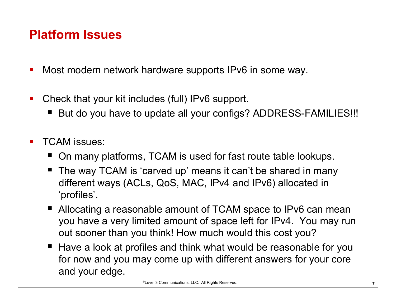#### **Platform Issues**

- Most modern network hardware supports IPv6 in some way.
- Check that your kit includes (full) IPv6 support.
	- But do you have to update all your configs? ADDRESS-FAMILIES!!!
- TCAM issues:
	- On many platforms, TCAM is used for fast route table lookups.
	- The way TCAM is 'carved up' means it can't be shared in many different ways (ACLs, QoS, MAC, IPv4 and IPv6) allocated in 'profiles'.
	- Allocating a reasonable amount of TCAM space to IPv6 can mean you have a very limited amount of space left for IPv4. You may run out sooner than you think! How much would this cost you?
	- Have a look at profiles and think what would be reasonable for you for now and you may come up with different answers for your core and your edge.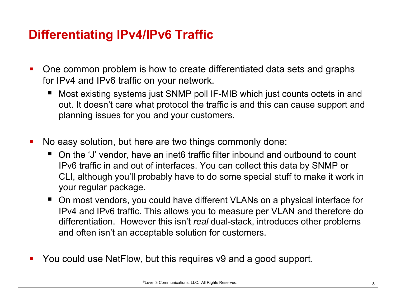#### **Differentiating IPv4/IPv6 Traffic**

- One common problem is how to create differentiated data sets and graphs for IPv4 and IPv6 traffic on your network.
	- Most existing systems just SNMP poll IF-MIB which just counts octets in and out. It doesn't care what protocol the traffic is and this can cause support and planning issues for you and your customers.
- No easy solution, but here are two things commonly done:
	- On the 'J' vendor, have an inet6 traffic filter inbound and outbound to count IPv6 traffic in and out of interfaces. You can collect this data by SNMP or CLI, although you'll probably have to do some special stuff to make it work in your regular package.
	- On most vendors, you could have different VLANs on a physical interface for IPv4 and IPv6 traffic. This allows you to measure per VLAN and therefore do differentiation. However this isn't *real* dual-stack, introduces other problems and often isn't an acceptable solution for customers.
- You could use NetFlow, but this requires v9 and a good support.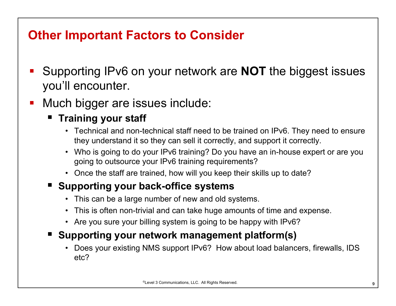#### **Other Important Factors to Consider**

- Supporting IPv6 on your network are **NOT** the biggest issues you'll encounter.
- Much bigger are issues include:

#### **Figure 1 Training your staff**

- Technical and non-technical staff need to be trained on IPv6. They need to ensure they understand it so they can sell it correctly, and support it correctly.
- Who is going to do your IPv6 training? Do you have an in-house expert or are you going to outsource your IPv6 training requirements?
- Once the staff are trained, how will you keep their skills up to date?

#### **E** Supporting your back-office systems

- This can be a large number of new and old systems.
- This is often non-trivial and can take huge amounts of time and expense.
- Are you sure your billing system is going to be happy with IPv6?

#### ■ Supporting your network management platform(s)

• Does your existing NMS support IPv6? How about load balancers, firewalls, IDS etc?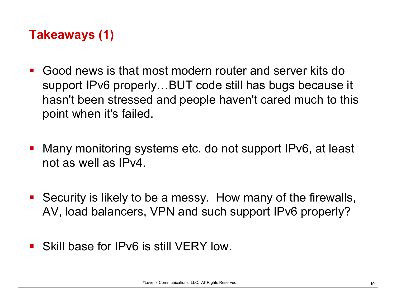#### **Takeaways (1)**

- Good news is that most modern router and server kits do support IPv6 properly…BUT code still has bugs because it hasn't been stressed and people haven't cared much to this point when it's failed.
- Many monitoring systems etc. do not support IPv6, at least not as well as IPv4.
- Security is likely to be a messy. How many of the firewalls, AV, load balancers, VPN and such support IPv6 properly?
- Skill base for IPv6 is still VERY low.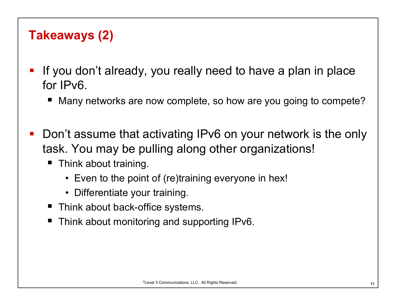#### **Takeaways (2)**

- If you don't already, you really need to have a plan in place for IPv6.
	- Many networks are now complete, so how are you going to compete?
- Don't assume that activating IPv6 on your network is the only task. You may be pulling along other organizations!
	- Think about training.
		- Even to the point of (re)training everyone in hex!
		- Differentiate your training.
	- Think about back-office systems.
	- Think about monitoring and supporting IPv6.